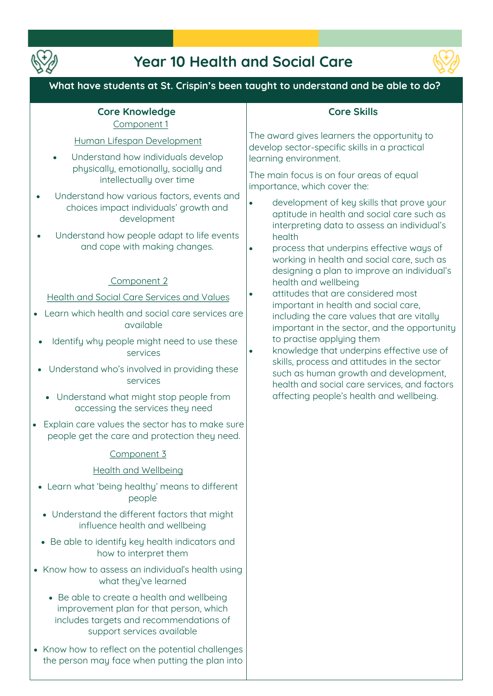

# **Year 10 Health and Social Care**



# **What have students at St. Crispin's been taught to understand and be able to do?**

#### **Core Knowledge Component 1**

#### **Human Lifespan Development**

- **Understand how individuals develop physically, emotionally, socially and intellectually over time**
- **Understand how various factors, events and choices impact individuals' growth and development**
- **Understand how people adapt to life events and cope with making changes.**

### **Component 2**

**Health and Social Care Services and Values**

- **Learn which health and social care services are available**
- **Identify why people might need to use these services**
- **Understand who's involved in providing these services** 
	- **Understand what might stop people from accessing the services they need**
- **Explain care values the sector has to make sure people get the care and protection they need.**

#### **Component 3**

#### **Health and Wellbeing**

- **Learn what 'being healthy' means to different people**
- **Understand the different factors that might influence health and wellbeing**
- **Be able to identify key health indicators and how to interpret them**
- **Know how to assess an individual's health using what they've learned** 
	- **Be able to create a health and wellbeing improvement plan for that person, which includes targets and recommendations of support services available**
- **Know how to reflect on the potential challenges the person may face when putting the plan into**

## **Core Skills**

**The award gives learners the opportunity to develop sector-specific skills in a practical learning environment.** 

**The main focus is on four areas of equal importance, which cover the:** 

- **development of key skills that prove your aptitude in health and social care such as interpreting data to assess an individual's health**
- **process that underpins effective ways of working in health and social care, such as designing a plan to improve an individual's health and wellbeing**
- **attitudes that are considered most important in health and social care, including the care values that are vitally important in the sector, and the opportunity to practise applying them**
- **knowledge that underpins effective use of skills, process and attitudes in the sector such as human growth and development, health and social care services, and factors affecting people's health and wellbeing.**